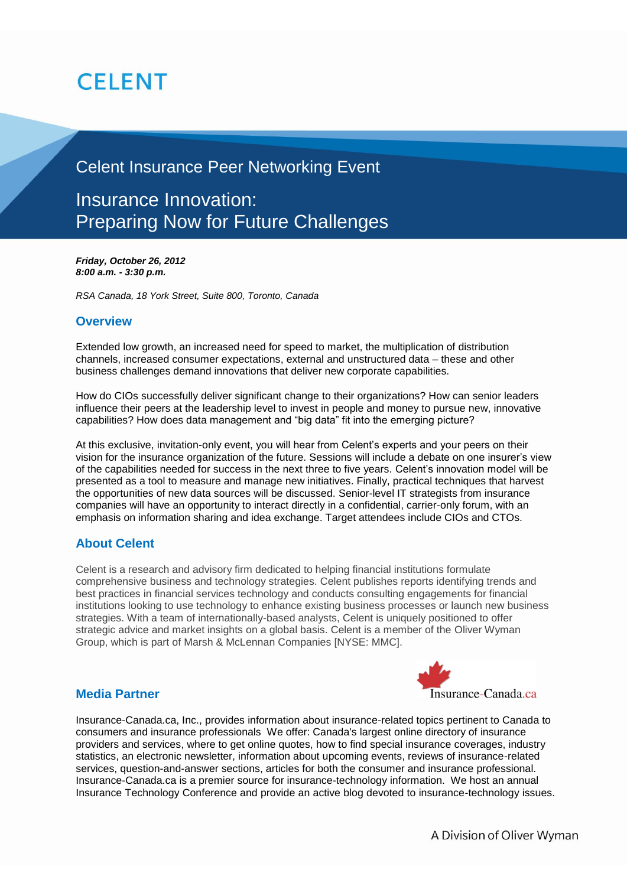# **CELENT**

### Celent Insurance Peer Networking Event

### Insurance Innovation: Preparing Now for Future Challenges

*Friday, October 26, 2012 8:00 a.m. - 3:30 p.m.*

*RSA Canada, 18 York Street, Suite 800, Toronto, Canada*

#### **Overview**

Extended low growth, an increased need for speed to market, the multiplication of distribution channels, increased consumer expectations, external and unstructured data – these and other business challenges demand innovations that deliver new corporate capabilities.

How do CIOs successfully deliver significant change to their organizations? How can senior leaders influence their peers at the leadership level to invest in people and money to pursue new, innovative capabilities? How does data management and "big data" fit into the emerging picture?

At this exclusive, invitation-only event, you will hear from Celent's experts and your peers on their vision for the insurance organization of the future. Sessions will include a debate on one insurer's view of the capabilities needed for success in the next three to five years. Celent's innovation model will be presented as a tool to measure and manage new initiatives. Finally, practical techniques that harvest the opportunities of new data sources will be discussed. Senior-level IT strategists from insurance companies will have an opportunity to interact directly in a confidential, carrier-only forum, with an emphasis on information sharing and idea exchange. Target attendees include CIOs and CTOs.

#### **About Celent**

Celent is a research and advisory firm dedicated to helping financial institutions formulate comprehensive business and technology strategies. Celent publishes reports identifying trends and best practices in financial services technology and conducts consulting engagements for financial institutions looking to use technology to enhance existing business processes or launch new business strategies. With a team of internationally-based analysts, Celent is uniquely positioned to offer strategic advice and market insights on a global basis. Celent is a member of the Oliver Wyman Group, which is part of Marsh & McLennan Companies [NYSE: MMC].



#### **Media Partner**

Insurance-Canada.ca, Inc., provides information about insurance-related topics pertinent to Canada to consumers and insurance professionals We offer: Canada's largest online directory of insurance providers and services, where to get online quotes, how to find special insurance coverages, industry statistics, an electronic newsletter, information about upcoming events, reviews of insurance-related services, question-and-answer sections, articles for both the consumer and insurance professional. Insurance-Canada.ca is a premier source for insurance-technology information. We host an annual Insurance Technology Conference and provide an active blog devoted to insurance-technology issues.